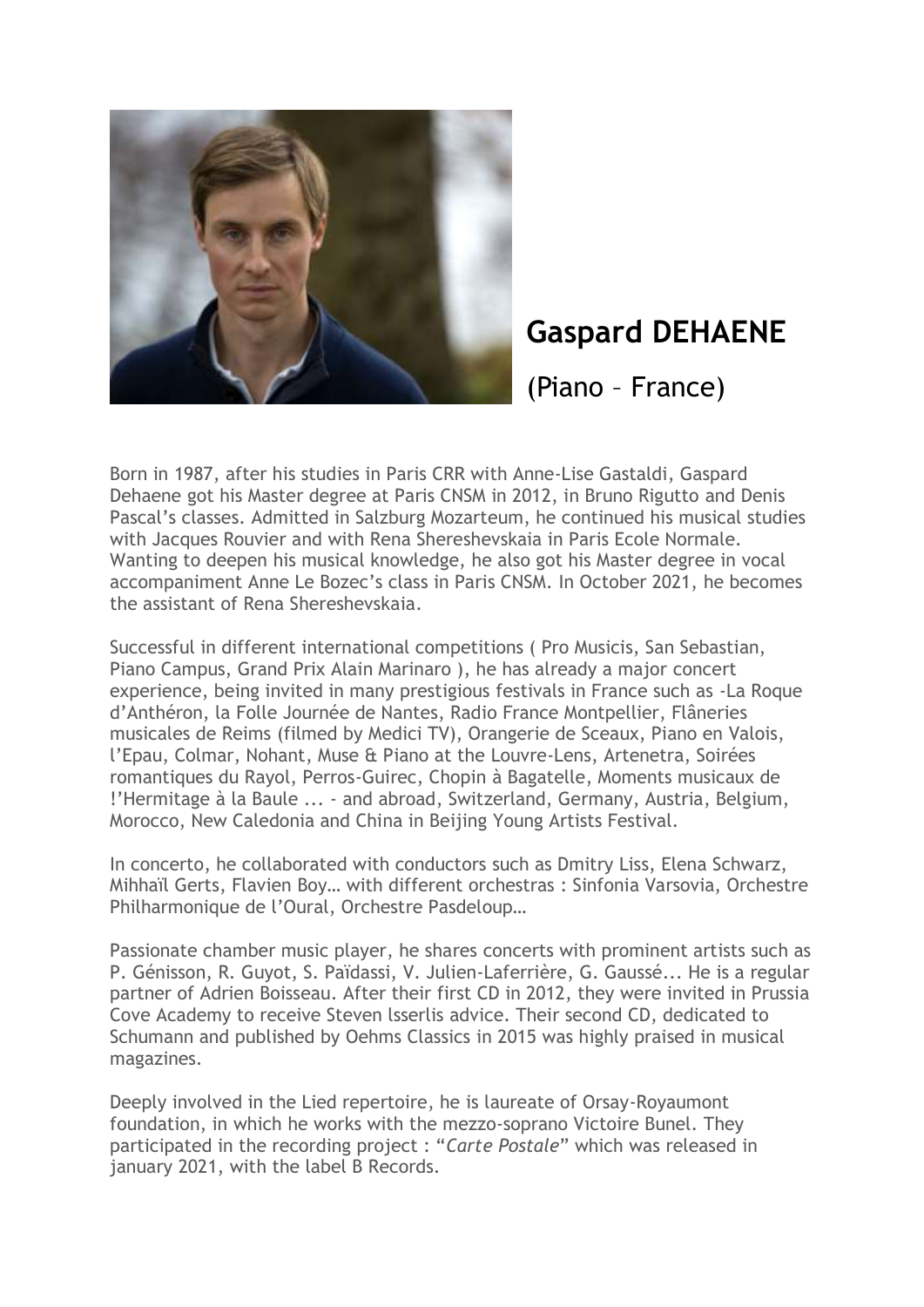

## **Gaspard DEHAENE**

(Piano – France)

Born in 1987, after his studies in Paris CRR with Anne-Lise Gastaldi, Gaspard Dehaene got his Master degree at Paris CNSM in 2012, in Bruno Rigutto and Denis Pascal's classes. Admitted in Salzburg Mozarteum, he continued his musical studies with Jacques Rouvier and with Rena Shereshevskaia in Paris Ecole Normale. Wanting to deepen his musical knowledge, he also got his Master degree in vocal accompaniment Anne Le Bozec's class in Paris CNSM. In October 2021, he becomes the assistant of Rena Shereshevskaia.

Successful in different international competitions ( Pro Musicis, San Sebastian, Piano Campus, Grand Prix Alain Marinaro ), he has already a major concert experience, being invited in many prestigious festivals in France such as -La Roque d'Anthéron, la Folle Journée de Nantes, Radio France Montpellier, Flâneries musicales de Reims (filmed by Medici TV), Orangerie de Sceaux, Piano en Valois, l'Epau, Colmar, Nohant, Muse & Piano at the Louvre-Lens, Artenetra, Soirées romantiques du Rayol, Perros-Guirec, Chopin à Bagatelle, Moments musicaux de !'Hermitage à la Baule ... - and abroad, Switzerland, Germany, Austria, Belgium, Morocco, New Caledonia and China in Beijing Young Artists Festival.

In concerto, he collaborated with conductors such as Dmitry Liss, Elena Schwarz, Mihhaïl Gerts, Flavien Boy… with different orchestras : Sinfonia Varsovia, Orchestre Philharmonique de l'Oural, Orchestre Pasdeloup…

Passionate chamber music player, he shares concerts with prominent artists such as P. Génisson, R. Guyot, S. Païdassi, V. Julien-Laferrière, G. Gaussé... He is a regular partner of Adrien Boisseau. After their first CD in 2012, they were invited in Prussia Cove Academy to receive Steven lsserlis advice. Their second CD, dedicated to Schumann and published by Oehms Classics in 2015 was highly praised in musical magazines.

Deeply involved in the Lied repertoire, he is laureate of Orsay-Royaumont foundation, in which he works with the mezzo-soprano Victoire Bunel. They participated in the recording project : "*Carte Postale*" which was released in january 2021, with the label B Records.